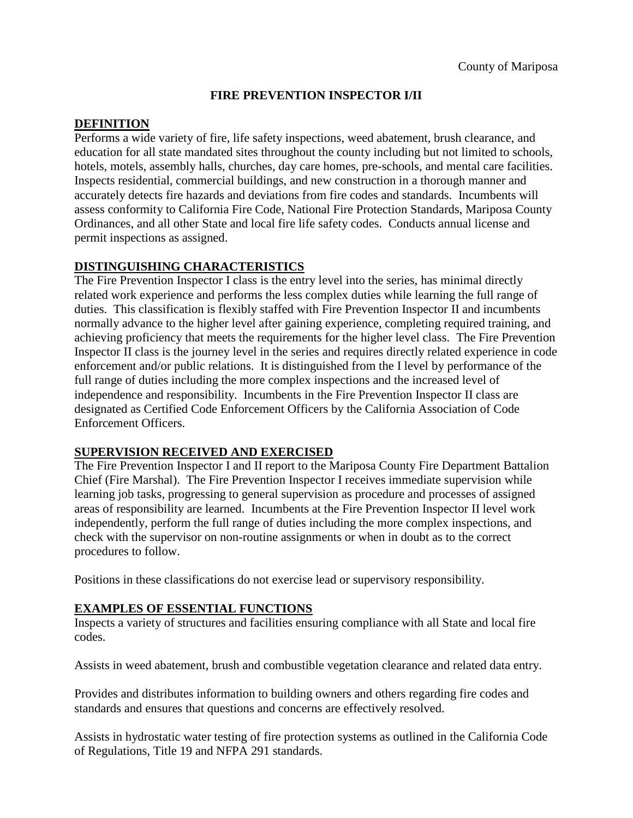# **FIRE PREVENTION INSPECTOR I/II**

### **DEFINITION**

Performs a wide variety of fire, life safety inspections, weed abatement, brush clearance, and education for all state mandated sites throughout the county including but not limited to schools, hotels, motels, assembly halls, churches, day care homes, pre-schools, and mental care facilities. Inspects residential, commercial buildings, and new construction in a thorough manner and accurately detects fire hazards and deviations from fire codes and standards. Incumbents will assess conformity to California Fire Code, National Fire Protection Standards, Mariposa County Ordinances, and all other State and local fire life safety codes. Conducts annual license and permit inspections as assigned.

# **DISTINGUISHING CHARACTERISTICS**

The Fire Prevention Inspector I class is the entry level into the series, has minimal directly related work experience and performs the less complex duties while learning the full range of duties. This classification is flexibly staffed with Fire Prevention Inspector II and incumbents normally advance to the higher level after gaining experience, completing required training, and achieving proficiency that meets the requirements for the higher level class. The Fire Prevention Inspector II class is the journey level in the series and requires directly related experience in code enforcement and/or public relations. It is distinguished from the I level by performance of the full range of duties including the more complex inspections and the increased level of independence and responsibility. Incumbents in the Fire Prevention Inspector II class are designated as Certified Code Enforcement Officers by the California Association of Code Enforcement Officers.

# **SUPERVISION RECEIVED AND EXERCISED**

The Fire Prevention Inspector I and II report to the Mariposa County Fire Department Battalion Chief (Fire Marshal). The Fire Prevention Inspector I receives immediate supervision while learning job tasks, progressing to general supervision as procedure and processes of assigned areas of responsibility are learned. Incumbents at the Fire Prevention Inspector II level work independently, perform the full range of duties including the more complex inspections, and check with the supervisor on non-routine assignments or when in doubt as to the correct procedures to follow.

Positions in these classifications do not exercise lead or supervisory responsibility.

# **EXAMPLES OF ESSENTIAL FUNCTIONS**

Inspects a variety of structures and facilities ensuring compliance with all State and local fire codes.

Assists in weed abatement, brush and combustible vegetation clearance and related data entry.

Provides and distributes information to building owners and others regarding fire codes and standards and ensures that questions and concerns are effectively resolved.

Assists in hydrostatic water testing of fire protection systems as outlined in the California Code of Regulations, Title 19 and NFPA 291 standards.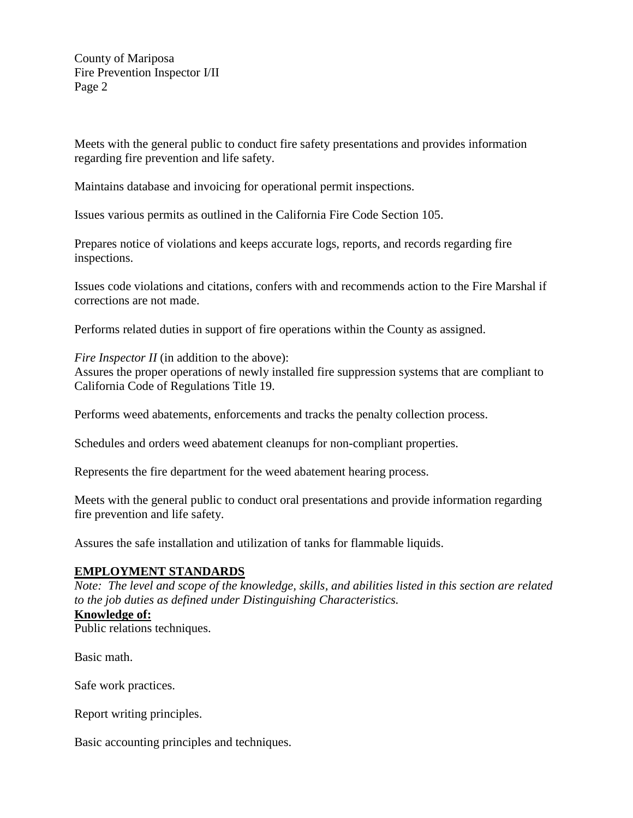County of Mariposa Fire Prevention Inspector I/II Page 2

Meets with the general public to conduct fire safety presentations and provides information regarding fire prevention and life safety.

Maintains database and invoicing for operational permit inspections.

Issues various permits as outlined in the California Fire Code Section 105.

Prepares notice of violations and keeps accurate logs, reports, and records regarding fire inspections.

Issues code violations and citations, confers with and recommends action to the Fire Marshal if corrections are not made.

Performs related duties in support of fire operations within the County as assigned.

*Fire Inspector II* (in addition to the above):

Assures the proper operations of newly installed fire suppression systems that are compliant to California Code of Regulations Title 19.

Performs weed abatements, enforcements and tracks the penalty collection process.

Schedules and orders weed abatement cleanups for non-compliant properties.

Represents the fire department for the weed abatement hearing process.

Meets with the general public to conduct oral presentations and provide information regarding fire prevention and life safety.

Assures the safe installation and utilization of tanks for flammable liquids.

#### **EMPLOYMENT STANDARDS**

*Note: The level and scope of the knowledge, skills, and abilities listed in this section are related to the job duties as defined under Distinguishing Characteristics.* **Knowledge of:**  Public relations techniques.

Basic math.

Safe work practices.

Report writing principles.

Basic accounting principles and techniques.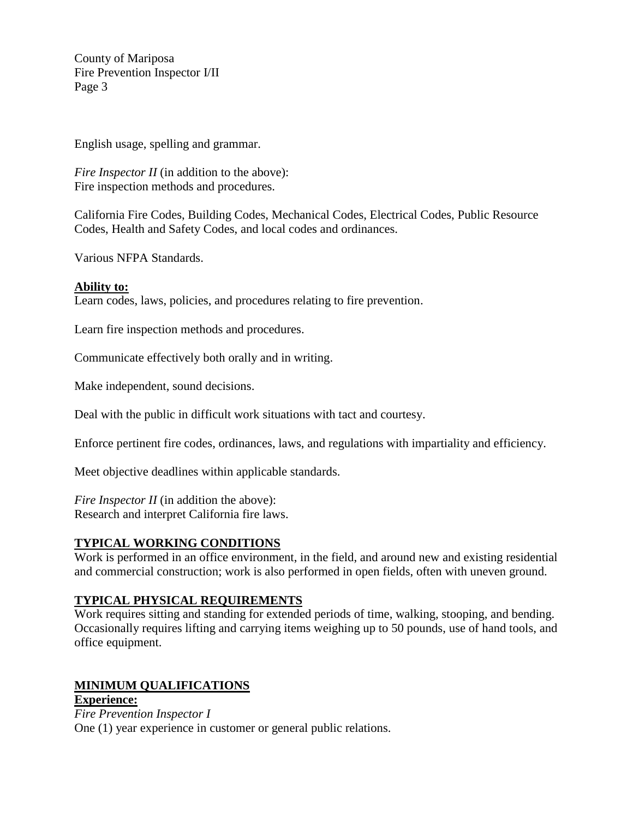County of Mariposa Fire Prevention Inspector I/II Page 3

English usage, spelling and grammar.

*Fire Inspector II* (in addition to the above): Fire inspection methods and procedures.

California Fire Codes, Building Codes, Mechanical Codes, Electrical Codes, Public Resource Codes, Health and Safety Codes, and local codes and ordinances.

Various NFPA Standards.

#### **Ability to:**

Learn codes, laws, policies, and procedures relating to fire prevention.

Learn fire inspection methods and procedures.

Communicate effectively both orally and in writing.

Make independent, sound decisions.

Deal with the public in difficult work situations with tact and courtesy.

Enforce pertinent fire codes, ordinances, laws, and regulations with impartiality and efficiency.

Meet objective deadlines within applicable standards.

*Fire Inspector II* (in addition the above): Research and interpret California fire laws.

# **TYPICAL WORKING CONDITIONS**

Work is performed in an office environment, in the field, and around new and existing residential and commercial construction; work is also performed in open fields, often with uneven ground.

# **TYPICAL PHYSICAL REQUIREMENTS**

Work requires sitting and standing for extended periods of time, walking, stooping, and bending. Occasionally requires lifting and carrying items weighing up to 50 pounds, use of hand tools, and office equipment.

# **MINIMUM QUALIFICATIONS**

**Experience:**  *Fire Prevention Inspector I* One (1) year experience in customer or general public relations.